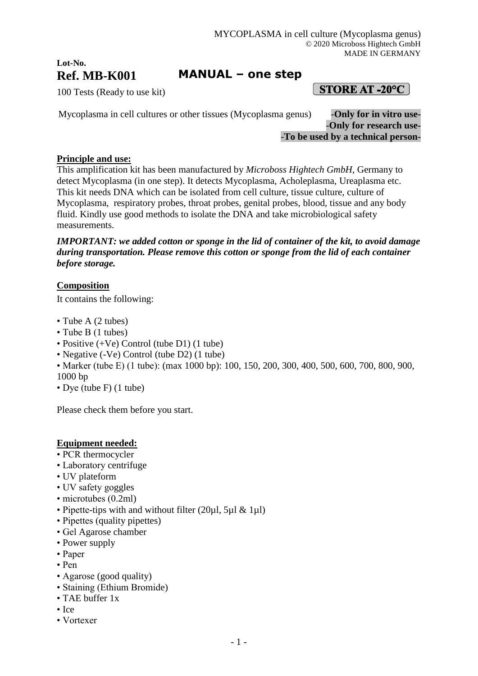## **Lot-No. Ref. MB-K001**

# **MANUAL – one step**

100 Tests (Ready to use kit)

 $[$  STORE AT -20 $^{\circ}$ C  $]$ 

Mycoplasma in cell cultures or other tissues (Mycoplasma genus) -**Only for in vitro use-** -**Only for research use-** -**To be used by a technical person-**

### **Principle and use:**

This amplification kit has been manufactured by *Microboss Hightech GmbH*, Germany to detect Mycoplasma (in one step). It detects Mycoplasma, Acholeplasma, Ureaplasma etc. This kit needs DNA which can be isolated from cell culture, tissue culture, culture of Mycoplasma, respiratory probes, throat probes, genital probes, blood, tissue and any body fluid. Kindly use good methods to isolate the DNA and take microbiological safety measurements.

*IMPORTANT: we added cotton or sponge in the lid of container of the kit, to avoid damage during transportation. Please remove this cotton or sponge from the lid of each container before storage.*

### **Composition**

It contains the following:

- Tube A (2 tubes)
- Tube B (1 tubes)
- Positive (+Ve) Control (tube D1) (1 tube)
- Negative (-Ve) Control (tube D2) (1 tube)
- Marker (tube E) (1 tube): (max 1000 bp): 100, 150, 200, 300, 400, 500, 600, 700, 800, 900, 1000 bp
- Dye (tube F) (1 tube)

Please check them before you start.

### **Equipment needed:**

- PCR thermocycler
- Laboratory centrifuge
- UV plateform
- UV safety goggles
- microtubes (0.2ml)
- Pipette-tips with and without filter (20µl, 5µl & 1µl)
- Pipettes (quality pipettes)
- Gel Agarose chamber
- Power supply
- Paper
- Pen
- Agarose (good quality)
- Staining (Ethium Bromide)
- TAE buffer 1x
- Ice
- Vortexer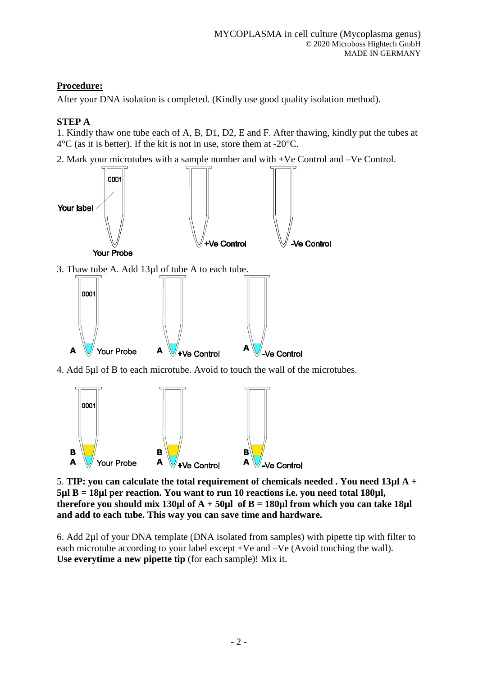## **Procedure:**

After your DNA isolation is completed. (Kindly use good quality isolation method).

### **STEP A**

1. Kindly thaw one tube each of A, B, D1, D2, E and F. After thawing, kindly put the tubes at  $4^{\circ}$ C (as it is better). If the kit is not in use, store them at -20 $^{\circ}$ C.

2. Mark your microtubes with a sample number and with +Ve Control and –Ve Control.



4. Add 5µl of B to each microtube. Avoid to touch the wall of the microtubes.



5. **TIP: you can calculate the total requirement of chemicals needed . You need 13µl A + 5µl B = 18µl per reaction. You want to run 10 reactions i.e. you need total 180µl, therefore you should mix 130µl of A + 50µl of B = 180µl from which you can take 18µl and add to each tube. This way you can save time and hardware.**

6. Add 2µl of your DNA template (DNA isolated from samples) with pipette tip with filter to each microtube according to your label except +Ve and –Ve (Avoid touching the wall). **Use everytime a new pipette tip** (for each sample)! Mix it.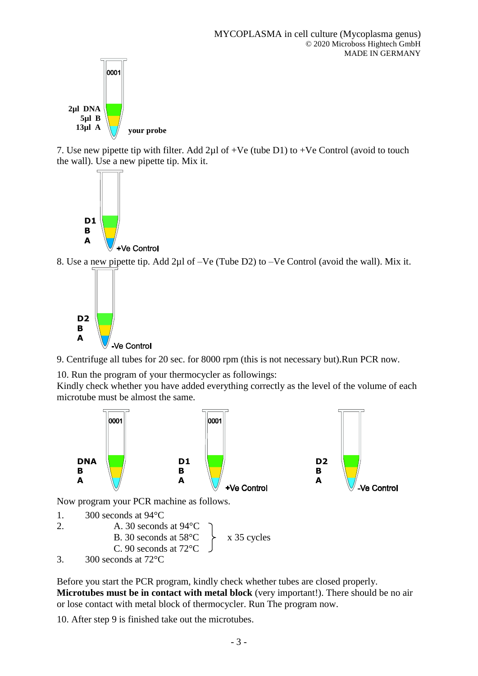

7. Use new pipette tip with filter. Add  $2\mu$ l of +Ve (tube D1) to +Ve Control (avoid to touch the wall). Use a new pipette tip. Mix it.



8. Use a new pipette tip. Add 2µl of –Ve (Tube D2) to –Ve Control (avoid the wall). Mix it.



9. Centrifuge all tubes for 20 sec. for 8000 rpm (this is not necessary but).Run PCR now.

10. Run the program of your thermocycler as followings:

Kindly check whether you have added everything correctly as the level of the volume of each microtube must be almost the same.



Now program your PCR machine as follows.

- 1. 300 seconds at 94°C
- 2. A. 30 seconds at 94°C B. 30 seconds at  $58^{\circ}$ C  $\rightarrow$  x 35 cycles C. 90 seconds at 72°C 3. 300 seconds at 72°C

Before you start the PCR program, kindly check whether tubes are closed properly. **Microtubes must be in contact with metal block** (very important!). There should be no air or lose contact with metal block of thermocycler. Run The program now.

10. After step 9 is finished take out the microtubes.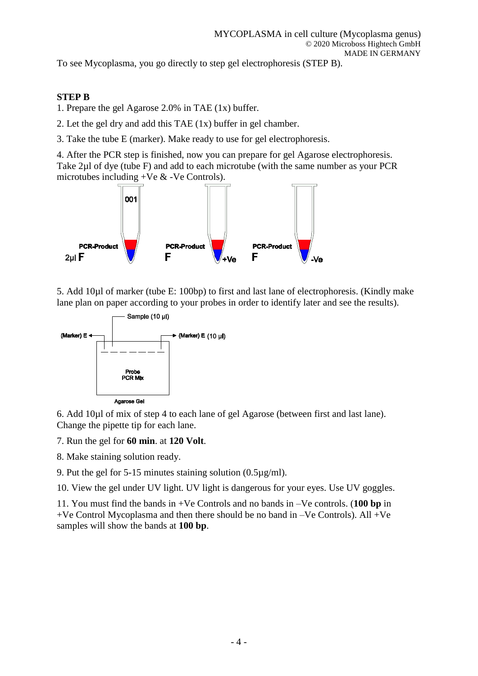To see Mycoplasma, you go directly to step gel electrophoresis (STEP B).

#### **STEP B**

- 1. Prepare the gel Agarose 2.0% in TAE (1x) buffer.
- 2. Let the gel dry and add this TAE (1x) buffer in gel chamber.
- 3. Take the tube E (marker). Make ready to use for gel electrophoresis.

4. After the PCR step is finished, now you can prepare for gel Agarose electrophoresis. Take 2µl of dye (tube F) and add to each microtube (with the same number as your PCR microtubes including +Ve & -Ve Controls).



5. Add 10µl of marker (tube E: 100bp) to first and last lane of electrophoresis. (Kindly make lane plan on paper according to your probes in order to identify later and see the results).



6. Add 10µl of mix of step 4 to each lane of gel Agarose (between first and last lane). Change the pipette tip for each lane.

- 7. Run the gel for **60 min**. at **120 Volt**.
- 8. Make staining solution ready.
- 9. Put the gel for 5-15 minutes staining solution (0.5µg/ml).

10. View the gel under UV light. UV light is dangerous for your eyes. Use UV goggles.

11. You must find the bands in +Ve Controls and no bands in –Ve controls. (**100 bp** in  $+Ve$  Control Mycoplasma and then there should be no band in  $-Ve$  Controls). All  $+Ve$ samples will show the bands at **100 bp**.